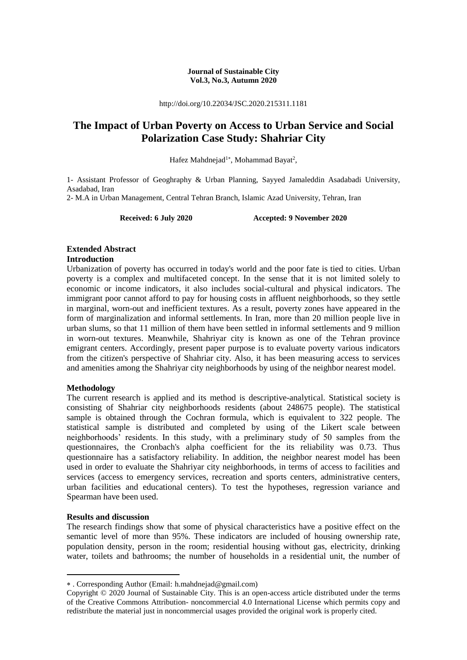#### **Journal of Sustainable City Vol.3, No.3, Autumn 2020**

http://doi.org/10.22034/JSC.2020.215311.1181

## **The Impact of Urban Poverty on Access to Urban Service and Social Polarization Case Study: Shahriar City**

Hafez Mahdnejad<sup>1\*</sup>, Mohammad Bayat<sup>2</sup>,

1- Assistant Professor of Geoghraphy & Urban Planning, Sayyed Jamaleddin Asadabadi University, Asadabad, Iran 2- M.A in Urban Management, Central Tehran Branch, Islamic Azad University, Tehran, Iran

**Received: 6 July 2020 Accepted: 9 November 2020**

## **Extended Abstract**

## **Introduction**

Urbanization of poverty has occurred in today's world and the poor fate is tied to cities. Urban poverty is a complex and multifaceted concept. In the sense that it is not limited solely to economic or income indicators, it also includes social-cultural and physical indicators. The immigrant poor cannot afford to pay for housing costs in affluent neighborhoods, so they settle in marginal, worn-out and inefficient textures. As a result, poverty zones have appeared in the form of marginalization and informal settlements. In Iran, more than 20 million people live in urban slums, so that 11 million of them have been settled in informal settlements and 9 million in worn-out textures. Meanwhile, Shahriyar city is known as one of the Tehran province emigrant centers. Accordingly, present paper purpose is to evaluate poverty various indicators from the citizen's perspective of Shahriar city. Also, it has been measuring access to services and amenities among the Shahriyar city neighborhoods by using of the neighbor nearest model.

## **Methodology**

The current research is applied and its method is descriptive-analytical. Statistical society is consisting of Shahriar city neighborhoods residents (about 248675 people). The statistical sample is obtained through the Cochran formula, which is equivalent to 322 people. The statistical sample is distributed and completed by using of the Likert scale between neighborhoods' residents. In this study, with a preliminary study of 50 samples from the questionnaires, the Cronbach's alpha coefficient for the its reliability was 0.73. Thus questionnaire has a satisfactory reliability. In addition, the neighbor nearest model has been used in order to evaluate the Shahriyar city neighborhoods, in terms of access to facilities and services (access to emergency services, recreation and sports centers, administrative centers, urban facilities and educational centers). To test the hypotheses, regression variance and Spearman have been used.

## **Results and discussion**

**.** 

The research findings show that some of physical characteristics have a positive effect on the semantic level of more than 95%. These indicators are included of housing ownership rate, population density, person in the room; residential housing without gas, electricity, drinking water, toilets and bathrooms; the number of households in a residential unit, the number of

. Corresponding Author (Email: h.mahdnejad@gmail.com)

Copyright © 2020 Journal of Sustainable City. This is an open-access article distributed under the terms of the Creative Commons Attribution- noncommercial 4.0 International License which permits copy and redistribute the material just in noncommercial usages provided the original work is properly cited.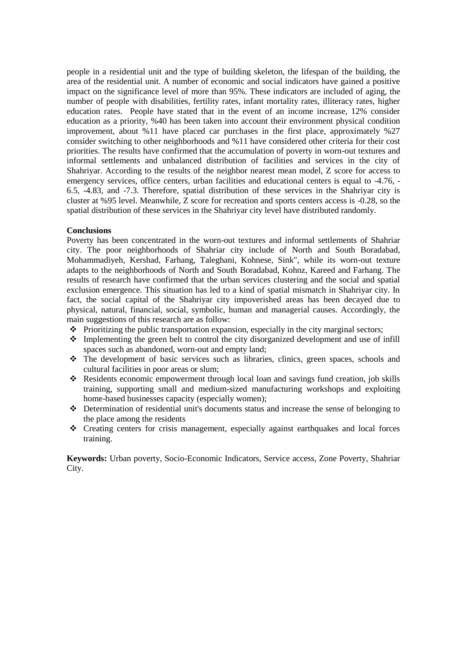people in a residential unit and the type of building skeleton, the lifespan of the building, the area of the residential unit. A number of economic and social indicators have gained a positive impact on the significance level of more than 95%. These indicators are included of aging, the number of people with disabilities, fertility rates, infant mortality rates, illiteracy rates, higher education rates. People have stated that in the event of an income increase, 12% consider education as a priority, %40 has been taken into account their environment physical condition improvement, about %11 have placed car purchases in the first place, approximately %27 consider switching to other neighborhoods and %11 have considered other criteria for their cost priorities. The results have confirmed that the accumulation of poverty in worn-out textures and informal settlements and unbalanced distribution of facilities and services in the city of Shahriyar. According to the results of the neighbor nearest mean model, Z score for access to emergency services, office centers, urban facilities and educational centers is equal to -4.76, - 6.5, -4.83, and -7.3. Therefore, spatial distribution of these services in the Shahriyar city is cluster at %95 level. Meanwhile, Z score for recreation and sports centers access is -0.28, so the spatial distribution of these services in the Shahriyar city level have distributed randomly.

## **Conclusions**

Poverty has been concentrated in the worn-out textures and informal settlements of Shahriar city. The poor neighborhoods of Shahriar city include of North and South Boradabad, Mohammadiyeh, Kershad, Farhang, Taleghani, Kohnese, Sink", while its worn-out texture adapts to the neighborhoods of North and South Boradabad, Kohnz, Kareed and Farhang. The results of research have confirmed that the urban services clustering and the social and spatial exclusion emergence. This situation has led to a kind of spatial mismatch in Shahriyar city. In fact, the social capital of the Shahriyar city impoverished areas has been decayed due to physical, natural, financial, social, symbolic, human and managerial causes. Accordingly, the main suggestions of this research are as follow:

- $\triangle$  Prioritizing the public transportation expansion, especially in the city marginal sectors;
- $\cdot \cdot$  Implementing the green belt to control the city disorganized development and use of infill spaces such as abandoned, worn-out and empty land;
- $\div$  The development of basic services such as libraries, clinics, green spaces, schools and cultural facilities in poor areas or slum;
- Residents economic empowerment through local loan and savings fund creation, job skills training, supporting small and medium-sized manufacturing workshops and exploiting home-based businesses capacity (especially women);
- Determination of residential unit's documents status and increase the sense of belonging to the place among the residents
- $\div$  Creating centers for crisis management, especially against earthquakes and local forces training.

**Keywords:** Urban poverty, Socio-Economic Indicators, Service access, Zone Poverty, Shahriar City.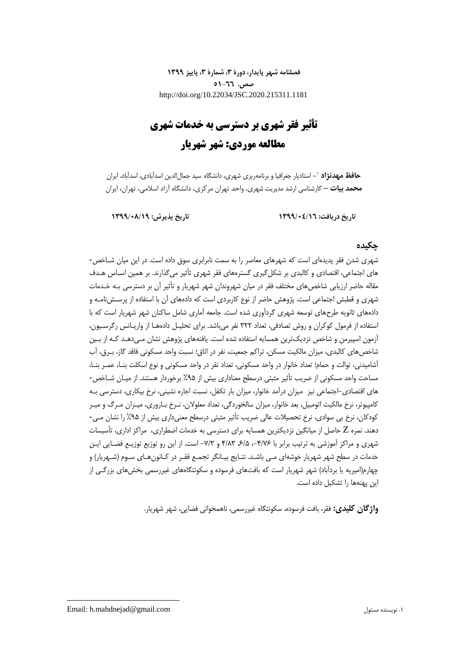**فصلنامه شهر پایدار، دورۀ ،3 شمارۀ ،3 پاییز 1399 صص. 51-66** http://doi.org/10.22034/JSC.2020.215311.1181

# **تأثیر فقر شهری بر دسترسی به خدمات شهری مطالعه موردی: شهر شهریار**

**-** استادیار جغرافیا و برنامهریزی شهری، دانشگاه سید جمالالدین اسدآبادی، اسدآباد، ایران <sup>1</sup> **حافظ مهدنژاد محمد بیات –** کارشناسی ارشد مدیریت شهری، واحد تهران مرکزی، دانشگاه آزاد اسالمی، تهران، ایران

**تاریخ دریافت: 1399/04/16 تاریخ پذیرش: 1399/08/19**

## **چکیده**

شهری شدن فقر پدیدهای است که شهرهای معاصر را به سمت نابرابری سوق داده است. در این میان شـاخص- های اجتماعی، اقتصادی و کالبدی بر شکلگیری گسترههای فقر شهری تأثیر میگذارند. بر همین اسـاس هـدف مقاله حاضر ارزیابی شاخصهای مختلف فقر در میان شهروندان شهر شهریار و تأثیر آن بر دسترسی بـه خـدمات شهری و قطبش اجتماعی است. پژوهش حاضر از نوع کاربردی است که دادههای آن با استفاده از پرسـشنامـه و دادههای ثانویه طرحهای توسعه شهری گردآوری شده است. جامعه آماری شامل ساکنان شهر شهریار است که با استفاده از فرمول کوکران و روش تصادفی، تعداد 322 نفر میباشد. برای تحلیـل دادههـا از واریـانس رگرسـیون، آزمون اسپیرمن و شاخص نزدیکترین همسایه استفاده شده است. یافتههای پژوهش نشان مـیدهـد کـه از بـین شاخصهای کالبدی، میزان مالکیت مسکن، تراکم جمعیت، نفر در اتاق؛ نسبت واحد مسکونی فاقد گاز، بـرق، آب آشامیدنی، توالت و حمام؛ تعداد خانوار در واحد مسکونی، تعداد نفر در واحد مسکونی و نوع اسکلت بنـا، عمـر بنـا، مساحت واحد مسکونی از ضریب تأثیر مثبتی درسطح معناداری بیش از %95 برخوردار هستند. از میـان شـاخص- های اقتصادی-اجتماعی نیز میزان درآمد خانوار، میزان بار تکفل، نسبت اجاره نشینی، نرخ بیکاری، دسترسی بـه کامپیوتر، نرخ مالکیت اتومبیل، بعد خانوار، میزان سالخوردگی، تعداد معلوالن، نـرخ بـاروری، میـزان مـرگ و میـر کودکان، نرخ بی سوادی، نرخ تحصیالت عالی ضریب تأثیر مثبتی درسطح معنیداری بیش از %95 را نشان مـی- دهند. نمره Z حاصل از میانگین نزدیکترین همسایه برای دسترسی به خدمات اضطراری، مراکز اداری، تأسیسات شهری و مراکز آموزشی به ترتیب برابر با ۰۴/۷۶-، ۶/۵ ۴/۸۳ و ۷/۳- است. از این رو توزیع توزیـع فضـایی ایـن خدمات در سطح شهر شهریار خوشهای مـی باشـد. نتـایج بیـانگر تجمـع فقـر در کـانونهـای سـوم )شـهریار( و چهارم(امیریه یا بردآباد) شهر شهریار است که بافتهای فرسوده و سکونتگاههای غیررسمی بخشهای بزرگـی از این پهنهها را تشکیل داده است.

**واژگان کلیدی:** فقر، بافت فرسوده، سکونتگاه غیررسمی، ناهمخوانی فضایی، شهر شهریار.

**.**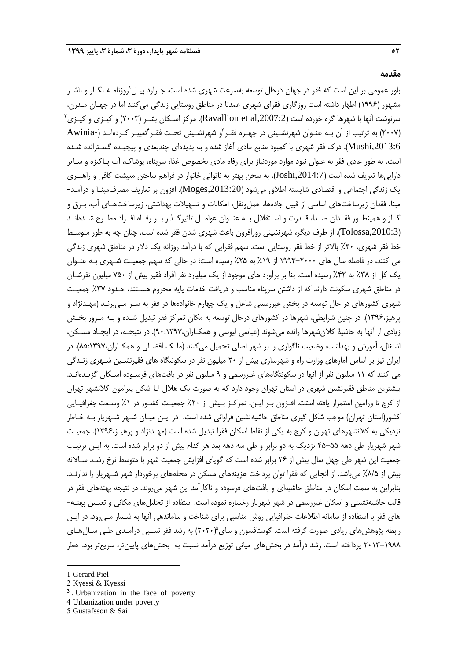#### **مقدمه**

1 باور عمومی بر این است که فقر در جهان درحال توسعه بهسرعت شهری شده است. جـرارد پیـل روزنامـه نگـار و ناشـر مشهور )1996( اظهار داشته است روزگاری فقرای شهری عمدتا در مناطق روستایی زندگی میکنند اما در جهـان مـدرن،  $^{\rm v}$ سرنوشت آنها با شهرها گره خورده است (Ravallion et al,2007:2). مرکز اسـکان بشـر (۲۰۰۳) و کیـزی و کیـزی $^{\rm v}$ (۲۰۰۷) به ترتیب از آن بـه عنـوان شهرنشـینی در چهـره فقـر ّو شهرنشـینی تحـت فقـر ٔتعبیـر کـردهانـد (-Awinia ,2013:6Mushi). درك فقر شهری با کمبود منابع مادی آغاز شده و به پدیدهای چندبعدی و پیچیـده گسـترانده شـده است. به طور عادی فقر به عنوان نبود موارد موردنیاز برای رفاه مادی بخصوص غذا، سرپناه، پوشاك، آب پـاکیزه و سـایر داراییها تعریف شده است ),2014:7Joshi). به سخن بهتر به ناتوانی خانوار در فراهم ساختن معیشت کافی و راهبـری یک زندگی اجتماعی و اقتصادی شایسته اطالق میشود ),2013:20Moges). افزون بر تعاریف مصرفمبنـا و درآمـد- مبنا، فقدان زیرساختهای اساسی از قبیل جادهها، حملءنقل، امکانات و تسهیلات بهداشتی، زیرساختهـای آب، بـرق و گــاز و همینطــور فقــدان صــدا، قــدرت و اســتقالل بــه عنــوان عوامــل تاثیرگــذار بــر رفــاه افــراد مطــرح شــدهانــد (Tolossa,2010:3). از طرف دیگر، شهرنشینی روزافزون باعث شهری شدن فقر شده است. چنان چه به طور متوسـط خط فقر شهری، ۳۰٪ بالاتر از خط فقر روستایی است. سهم فقرایی که با درآمد روزانه یک دلار در مناطق شهری زندگی می کنند، در فاصله سال های 1993-2000 از %19 به %25 رسیده است؛ در حالی که سهم جمعیـت شـهری بـه عنـوان یک کل از %38 به %42 رسیده است. بنا بر برآورد های موجود از یک میلیارد نفر افراد فقیر بیش از 750 میلیون نفرشـان در مناطق شهری سکونت دارند که از داشتن سرپناه مناسب و دریافت خدمات پایه محروم هسـتند، حـدود %37 جمعیـت شهری کشورهای در حال توسعه در بخش غیررسمی شاغل و یک چهارم خانوادهها در فقر به سـر مـیبرنـد )مهـدنژاد و پرهیز،۱۳۹۶). در چنین شرایطی، شهرها در کشورهای درحال توسعه به مکان تمرکز فقر تبدیل شـده و بـه مـرور بخـش زیادی از آنها به حاشیۀ کالنشهرها رانده میشوند )عباسی لیوسی و همکـاران90:1397،(. در نتیجـه، در ایجـاد مسـکن، اشتغال، آموزش و بهداشت، وضعیت ناگواری را بر شهر اصلی تحمیل میکنند (ملـک افضـلی و همکـاران،۱۳۹۷،(۸۵:۱۸۹۲). در ایران نیز بر اساس آمارهای وزارت راه و شهرسازی بیش از 20 میلیون نفر در سکونتگاه های فقیرنشـین شـهری زنـدگی می کنند که 11 میلیون نفر از آنها در سکونتگاههای غیررسمی و 9 میلیون نفر در بافتهای فرسـوده اسـکان گزیـدهانـد. بیشترین مناطق فقیرنشین شهری در استان تهران وجود دارد که به صورت یک هالل U شکل پیرامون کالنشهر تهران از کرج تا ورامین استمرار یافته استت. افـزون بـر ایـن، تمرکـز بـیش از %20 جمعیـت کشـور در %1 وسـعت جغرافیـایی کشور(استان تهران) موجب شکل گیری مناطق حاشیهنشین فراوانی شده است. در ایـن میـان شـهر شـهریار بـه خـاطر نزدیکی به کالنشهرهای تهران و کرج به یکی از نقاط اسکان فقرا تبدیل شده است )مهـدنژاد و پرهیـز1396،(. جمعیـت شهر شهریار طی دهه 45-55 نزدیک به دو برابر و طی سه دهه بعد هر کدام بیش از دو برابر شده است. به ایـن ترتیـب جمعیت این شهر طی چهل سال بیش از ۲۶ برابر شده است که گویای افزایش جمعیت شهر با متوسط نرخ رشـد سـالانه بیش از %8/5 میباشد. از آنجایی که فقرا توان پرداخت هزینههای مسکن در محلههای برخوردار شهر شـهریار را ندارنـد. بنابراین به سمت اسکان در مناطق حاشیهای و بافتهای فرسوده و ناکارآمد این شهر میروند. در نتیجه پهنههای فقر در قالب حاشیهنشینی و اسکان غیررسمی در شهر شهریار رخساره نموده است. استفاده از تحلیلهای مکانی و تعیـین پهنـه- های فقر با استفاده از سامانه اطالعات جغرافیایی روش مناسبی برای شناخت و ساماندهی آنها به شـمار مـیرود. در ایـن رابطه پژوهش،های زیادی صورت گرفته است. گوستافسون و سای $(7\mathord{\cdot} r\mathord{\cdot} r)$  به رشد فقر نسـبی درآمـدی طـی سـال۱صای 2013-1988 پرداخته است. رشد درآمد در بخشهای میانی توزیع درآمد نسبت به بخشهای پایینتر، سریعتر بود. خطر

1

3 . Urbanization in the face of poverty

<sup>1.</sup> Gerard Piel

<sup>2.</sup> Kyessi & Kyessi

<sup>4.</sup> Urbanization under poverty

<sup>5.</sup> Gustafsson & Sai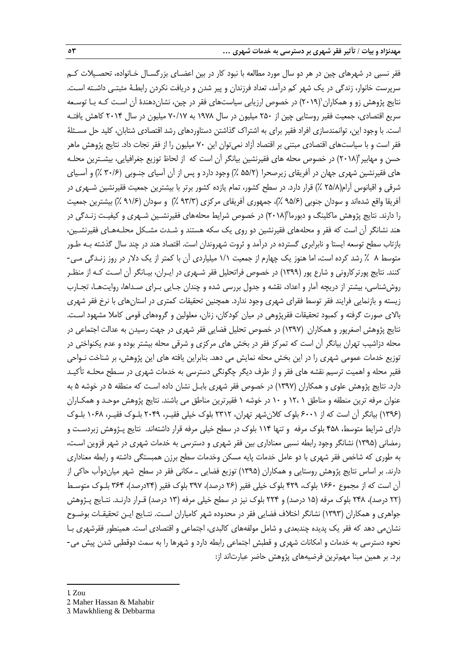فقر نسبی در شهرهای چین در هر دو سال مورد مطالعه با نبود کار در بین اعضـای بزرگسـال خـانواده، تحصـیالت کـم سرپرست خانوار، زندگی در یک شهر کم درآمد، تعداد فرزندان و پیر شدن و دریافت نکردن رابطـۀ مثبتـی داشـته اسـت. نتایج پژوهش زو و همکاران (۲۰۱۹) در خصوص ارزیابی سیاستهای فقر در چین، نشاندهندهٔ آن اسـت کـه بـا توسـعه سریع اقتصادی، جمعیت فقیر روستایی چین از 250 میلیون در سال 1978 به 70/17 میلیون در سال 2014 کاهش یافتـه است. با وجود این، توانمندسازی افراد فقیر برای به اشتراك گذاشتن دستاوردهای رشد اقتصادی شتابان، کلید حل مسـئلۀ فقر است و با سیاستهای اقتصادی مبتنی بر اقتصاد آزاد نمیتوان این 70 میلیون را از فقر نجات داد. نتایج پژوهش ماهر حسن و مهابیر (۲۰۱۸) در خصوص محله های فقیرنشین بیانگر آن است که از لحاظ توزیع جغرافیایی، بیشـترین محلـه های فقیرنشین شهری جهان در آفریقای زیرصحرا (۵۵/۲ ٪) وجود دارد و پس از آن آسیای جنـوبی (۳۰/۶ ٪) و آسـیای شرقی و اقیانوس آرام)25/8 %( قرار دارد. در سطح کشور، تمام یازده کشور برتر با بیشترین جمعیت فقیرنشین شـهری در آفریقا واقع شدهاند و سودان جنوبی (۹۵/۶ ٪)، جمهوری آفریقای مرکزی (۹۳/۳ ٪) و سودان (۹۱/۶ ٪) بیشترین جمعیت را دارند. نتایج پژوهش ماکلینگ و دبورما (۲۰۱۸) در خصوص شرایط محلههای فقیرنشـین شـهری و کیفیـت زنـدگی در هند نشانگر آن است که فقر و محلههای فقیرنشین دو روی یک سکه هستند و شـدت مشـکل محلـههـای فقیرنشـین، بازتاب سطح توسعه ایستا و نابرابری گسترده در درآمد و ثروت شهروندان است. اقتصاد هند در چند سال گذشته بـه طـور متوس 8 % رشد کرده است، اما هنوز یک چهارم از جمعیت 1/1 میلیاردی آن با کمتر از یک دالر در روز زنـدگی مـی- کنند. نتایج پورترکارونی و شارع پور )1399( در خصوص فراتحلیل فقر شـهری در ایـران، بیـانگر آن اسـت کـه از منظـر روششناسی، بیشتر از دریچه آمار و اعداد، نقشه و جدول بررسی شده و چندان جـایی بـرای صـداها، روایتهـا، تجـارب زیسته و بازنمایی فرایند فقر توسط فقرای شهری وجود ندارد. همچنین تحقیقات کمتری در استانهای با نرخ فقر شهری باالی صورت گرفته و کمبود تحقیقات فقرپژوهی در میان کودکان، زنان، معلولین و گروههای قومی کامال مشهود اسـت. نتایج پژوهش اصغرپور و همکاران )1397( در خصوص تحلیل فضایی فقر شهری در جهت رسیدن به عدالت اجتماعی در محله دزاشیب تهران بیانگر آن است که تمرکز فقر در بخش های مرکزی و شرقی محله بیشتر بوده و عدم یکنواختی در توزیع خدمات عمومی شهری را در این بخش محله نمایش می دهد. بنابراین یافته های این پژوهش، بر شناخت نـواحی فقیر محله و اهمیت ترسیم نقشه های فقر و از طرف دیگر چگونگی دسترسی به خدمات شهری در سـطح محلـه تأکیـد دارد. نتایج پژوهش علوی و همکاران )1397( در خصوص فقر شهری بابـل نشان داده اسـت که منطقه 5 در خوشه 5 به عنوان مرفه ترین منطقه و مناطق 1 12، و 10 در خوشه 1 فقیرترین مناطق می باشند. نتایج پژوهش موحـد و همکـاران )1396( بیانگر آن است که از 6001 بلوك کالنشهر تهران، 2312 بلوك خیلی فقیـر، 2049 بلـوك فقیـر، 1068 بلـوك دارای شرایط متوسط، ۴۵۸ بلوک مرفه و تنها ۱۱۴ بلوک در سطح خیلی مرفه قرار داشتهاند. نتایج پـژوهش زبردسـت و رمضانی )1395( نشانگر وجود رابطه نسبی معناداری بین فقر شهری و دسترسی به خدمات شهری در شهر قزوین اسـت، به طوری که شاخص فقر شهری با دو عامل خدمات پایه مسکن وخدمات سطح برزن همبستگی داشته و رابطه معناداری دارند. بر اساس نتایج پژوهش روستایی و همکاران )1395( توزیع فضایی ـ مکانی فقر در سطح شهر میاندوآب حاکی از آن است که از مجموع ۱۶۶۰ بلوک، ۴۲۹ بلوک خیلی فقیر (۲۶ درصد)، ۳۹۷ بلوک فقیر (۲۴درصد)، ۳۶۴ بلـوک متوسـط (۲۲ درصد)، ۲۴۸ بلوک مرفه (۱۵ درصد) و ۲۲۴ بلوک نیز در سطح خیلی مرفه (۱۳ درصد) قـرار دارنـد. نتـایج پـژوهش جواهری و همکاران )1393( نشانگر اختالف فضایی فقر در محدوده شهر کامیاران اسـت. نتـایج ایـن تحقیقـات بوضـوح نشانمی دهد که فقر یک پدیده چندبعدی و شامل مولفههای کالبدی، اجتماعی و اقتصادی است. همینطور فقرشهری بـا نحوه دسترسی به خدمات و امکانات شهری و قطبش اجتماعی رابطه دارد و شهرها را به سمت دوقطبی شدن پیش می- برد. بر همین مبنا مهمترین فرضیههای پژوهش حاضر عبارتاند از:

1. Zou

1

- 2. Maher Hassan & Mahabir
- 3. Mawkhlieng & Debbarma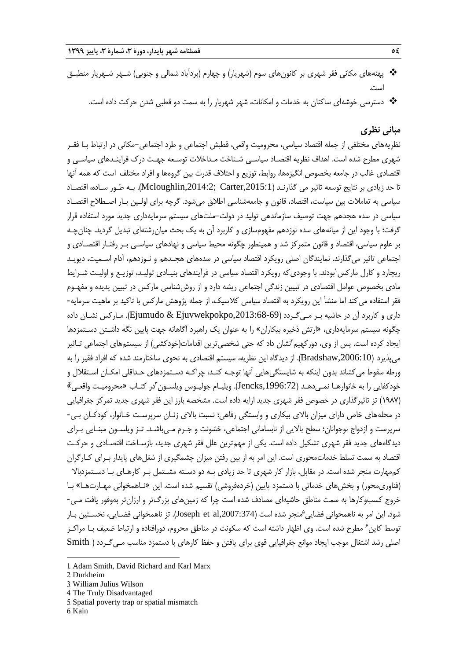- \* پهنههای مکانی فقر شهری بر کانونهای سوم (شهریار) و چهارم (بردآباد شمالی و جنوبی) شـهر شـهریار منطبـق است.
	- دسترسی خوشهای ساکنان به خدمات و امکانات، شهر شهریار را به سمت دو قطبی شدن حرکت داده است.

## **مبانی نظری**

نظریههای مختلفی از جمله اقتصاد سیاسی، محرومیت واقعی، قطبش اجتماعی و طرد اجتماعی-مکانی در ارتباط بـا فقـر شهری مطرح شده است. اهداف نظریه اقتصـاد سیاسـی شـناخت مـداخالت توسـعه جهـت درك فراینـدهای سیاسـی و اقتصادی غالب در جامعه بخصوص انگیزهها، روابط، توزیع و اختلاف قدرت بین گروهها و افراد مختلف است که همه آنها تا حد زیادی بر نتایج توسعه تاثیر می گذارنـد (Mcloughlin,2014:2; Carter,2015:1). بـه طـور سـاده، اقتصـاد سیاسی به تعامالت بین سیاست، اقتصاد، قانون و جامعهشناسی اطالق میشود. گرچه برای اولـین بـار اصـطالح اقتصـاد سیاسی در سده هجدهم جهت توصیف سازماندهی تولید در دولت-ملتهای سیستم سرمایهداری جدید مورد استفاده قرار گرفت؛ با وجود این از میانههای سده نوزدهم مفهومسازی و کاربرد آن به یک بحث میان رشتهای تبدیل گردید. چنانچـه بر علوم سیاسی، اقتصاد و قانون متمرکز شد و همینطور چگونه محیط سیاسی و نهادهای سیاسـی بـر رفتـار اقتصـادی و اجتماعی تاثیر میگذارند. نمایندگان اصلی رویکرد اقتصاد سیاسی در سدههای هجـدهم و نـوزدهم، آدام اسـمیت، دیویـد ریچارد و کارل مارکس'بودند. با وجودی که رویکرد اقتصاد سیاسی در فرآیندهای بنیـادی تولیـد، توزیـع و اولیـت شـرایط مادی بخصوص عوامل اقتصادی در تبیین زندگی اجتماعی ریشه دارد و از روششناسی مارکس در تبیین پدیده و مفهـوم فقر استفاده میکند اما منشأ این رویکرد به اقتصاد سیاسی کالسیک، از جمله پژوهش مارکس با تاکید بر ماهیت سرمایه- داری و کاربرد آن در حاشیه بـر مـیگـردد ),2013:68-69Ejuvwekpokpo & Ejumudo). مـارکس نشـان داده چگونه سیستم سرمایهداری، »ارتش ذخیره بیکاران« را به عنوان یک راهبرد آگاهانه جهت پایین نگه داشـتن دسـتمزدها یجاد کرده است. پس از وی، دورکهیم<sup>۲</sup>نشان داد که حتی شخصی¤رین اقدامات(خودکشی) از سیستمهای اجتماعی تـاثیر میپذیرد ),2006:10Bradshaw). از دیدگاه این نظریه، سیستم اقتصادی به نحوی ساختارمند شده که افراد فقیر را به ورطه سقوط میکشاند بدون اینکه به شایستگیهایی آنها توجـه کنـد، چراکـه دسـتمزدهای حـداقلی امکـان اسـتقالل و خودكفایی را به خانوارهـا نمـیدهـد (Jencks,1996:72). ویلیـام جولیـوس ویلسـون ّدر كتـاب «محرومیـت واقعـی $\frac{1}{2}$ )1987( تز تاثیرگذاری در خصوص فقر شهری جدید ارایه داده است. مشخصه بارز این فقر شهری جدید تمرکز جغرافیایی در محلههای خاص دارای میزان باالی بیکاری و وابستگی رفاهی؛ نسبت باالی زنـان سرپرسـت خـانوار، کودکـان بـی- سرپرست و ازدواج نوجوانان؛ سطح باالیی از نابسامانی اجتماعی، خشونت و جـرم مـیباشـد. تـز ویلسـون مبنـایی بـرای دیدگاههای جدید فقر شهری تشکیل داده است. یکی از مهمترین علل فقر شهری جدید، بازسـاخت اقتصـادی و حرکـت اقتصاد به سمت تسلط خدماتمحوری است. این امر به از بین رفتن میزان چشمگیری از شغلهای پایدار بـرای کـارگران کممهارت منجر شده است. در مقابل، بازار کار شهری تا حد زیادی بـه دو دسـته مشـتمل بـر کارهـای بـا دسـتمزدباال (فناوری،حور) و بخشهای خدماتی با دستمزد پایین (خردهفروشی) تقسیم شده است. این «نـاهمخوانی مهـارتهـا» بـا خروج کسبوکارها به سمت مناطق حاشیهای مصادف شده است چرا که زمینهای بزرگتر و ارزانتر بهوفور یافت مـی- شود. این امر به ناهمخوانی فضایی <sup>م</sup>منجر شده است (Joseph et al,2007:374). تز ناهمخوانی فضـایی، نخسـتین بـار نوسط کاین<sup>۶</sup> مطرح شده است. وی اظهار داشته است که سکونت در مناطق محروم، دورافتاده و ارتباط ضعیف بـا مراکــز اصلی رشد اشتغال موجب ایجاد موانع جغرافیایی قوی برای یافتن و حفظ کارهای با دستمزد مناسب مـیگـردد ) Smith

4. The Truly Disadvantaged

6. Kain

1

<sup>1.</sup> Adam Smith, David Richard and Karl Marx

<sup>2.</sup> Durkheim

<sup>3.</sup> William Julius Wilson

<sup>5.</sup> Spatial poverty trap or spatial mismatch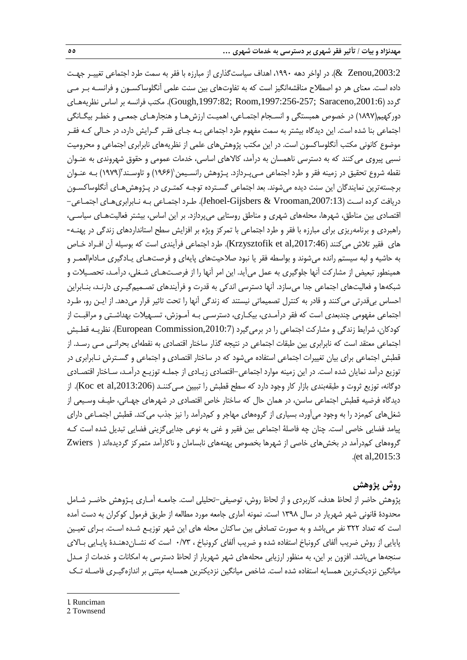,2003:2Zenou)& . در اواخر دهه ،1990 اهداف سیاستگذاری از مبارزه با فقر به سمت طرد اجتماعی تغییـر جهـت داده است. معنای هر دو اصطالح مناقشهانگیز است که به تفاوتهای بین سنت علمی آنگلوساکسـون و فرانسـه بـر مـی گردد ),2001:6Saraceno; ,1997:256-257Room; ,1997:82Gough). مکتب فرانسه بر اساس نظریههـای دورکهیم)1897( در خصوص همبستگی و انسـجام اجتمـاعی، اهمیـت ارزشهـا و هنجارهـای جمعـی و خطـر بیگـانگی اجتماعی بنا شده است. این دیدگاه بیشتر به سمت مفهوم طرد اجتماعی بـه جـای فقـر گـرایش دارد، در حـالی کـه فقـر موضوع کانونی مکتب آنگلوساکسون است. در این مکتب پژوهشهای علمی از نظریههای نابرابری اجتماعی و محرومیت نسبی پیروی میکنند که به دسترسی ناهمسان به درآمد، کاالهای اساسی، خدمات عمومی و حقوق شهروندی به عنـوان نقطه شروع تحقیق در زمینه فقر و طرد اجتماعی مـیپـردازد. پـژوهش رانسـیمن((۱۹۶۶) و تاوسـند'(۱۹۷۹) بـه عنـوان برجستهترین نمایندگان این سنت دیده میشوند. بعد اجتماعی گسـترده توجـه کمتـری در پـژوهشهـای آنگلوساکسـون دریافت کرده اسـت ),2007:13Vrooman & Gijsbers-Jehoel). طـرد اجتمـاعی بـه نـابرابریهـای اجتمـاعی- اقتصادی بین مناطق، شهرها، محلههای شهری و مناطق روستایی میپردازد. بر این اساس، بیشتر فعالیتهـای سیاسـی، راهبردی و برنامهریزی برای مبارزه با فقر و طرد اجتماعی با تمرکز ویژه بر افزایش سطح استانداردهای زندگی در پهنـه- های فقیر تالش میکنند ),2017:46al et Krzysztofik). طرد اجتماعی فرآیندی است که بوسیله آن افـراد خـاص به حاشیه و لبه سیستم رانده میشوند و بواسطه فقر یا نبود صالحیتهای پایهای و فرصتهـای یـادگیری مـادامالعمـر و همینطور تبعیض از مشارکت آنها جلوگیری به عمل میآید. این امر آنها را از فرصـتهـای شـغلی، درآمـد، تحصـیالت و شبکهها و فعالیتهای اجتماعی جدا میسازد. آنها دسترسی اندکی به قدرت و فرآیندهای تصـمیمگیـری دارنـد، بنـابراین احساس بیقدرتی میکنند و قادر به کنترل تصمیماتی نیستند که زندگی آنها را تحت تاثیر قرار میدهد. از ایـن رو، طـرد اجتماعی مفهومی چندبعدی است که فقر درآمـدی، بیکـاری، دسترسـی بـه آمـوزش، تسـهیالت بهداشـتی و مراقبـت از کودکان، شرایط زندگی و مشارکت اجتماعی را در برمیگیرد (European Commission,2010:7). نظریـه قطـبش اجتماعی معتقد است که نابرابری بین طبقات اجتماعی در نتیجه گذار ساختار اقتصادی به نقطهای بحرانـی مـی رسـد. از قطبش اجتماعی برای بیان تغییرات اجتماعی استفاده میشود که در ساختار اقتصادی و اجتماعی و گسـترش نـابرابری در توزیع درآمد نمایان شده است. در این زمینه موارد اجتماعی-اقتصادی زیـادی از جملـه توزیـع درآمـد، سـاختار اقتصـادی دوگانه، توزیع ثروت و طبقهبندی بازار کار وجود دارد که سطح قطبش را تبیین مـیکننـد ),2013:206al et Koc). از دیدگاه فرضیه قطبش اجتماعی ساسن، در همان حال که ساختار خاص اقتصادی در شهرهای جهـانی، طیـف وسـیعی از شغلهای کممزد را به وجود میآورد، بسیاری از گروههای مهاجر و کمدرآمد را نیز جذب میکند. قطبش اجتمـاعی دارای پیامد فضایی خاصی است. چنان چه فاصلۀ اجتماعی بین فقیر و غنی به نوعی جداییگزینی فضایی تبدیل شده است کـه گروههای کمدرآمد در بخشهای خاصی از شهرها بخصوص پهنههای نابسامان و ناکارآمد متمرکز گردیدهاند ) Zwiers .)et al,2015:3

## **روش پژوهش**

پژوهش حاضر از لحاظ هدف، کاربردی و از لحاظ روش، توصیفی-تحلیلی است. جامعـه آمـاری پـژوهش حاضـر شـامل محدودة قانونی شهر شهریار در سال 1398 است. نمونه آماری جامعه مورد مطالعه از طریق فرمول کوکران به دست آمده است که تعداد 322 نفر میباشد و به صورت تصادفی بین ساکنان محله های این شهر توزیـع شـده اسـت. بـرای تعیـین پایایی از روش ضریب آلفای کرونباخ استفاده شده و ضریب آلفای کرونباخ ، 0/73 است که نشـاندهنـدة پایـایی بـاالی سنجهها میباشد. افزون بر این، به منظور ارزیابی محلههای شهر شهریار از لحاظ دسترسی به امکانات و خدمات از مـدل میانگین نزدیکترین همسایه استفاده شده است. شاخص میانگین نزدیکترین همسایه مبتنی بر اندازهگیـری فاصـله تـک

1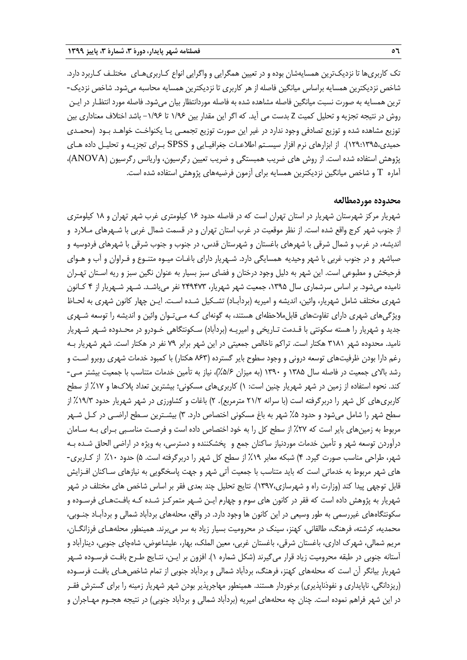تک کاربریها تا نزدیکترین همسایهشان بوده و در تعیین همگرایی و واگرایی انواع کـاربریهـای مختلـف کـاربرد دارد. شاخص نزدیکترین همسایه براساس میانگین فاصله از هر کاربری تا نزدیکترین همسایه محاسبه میشود. شاخص نزدیک-ترین همسایه به صورت نسبت میانگین فاصله مشاهده شده به فاصله موردانتظار بیان میشود. فاصله مورد انتظـار در ایـن روش در نتیجه تجزیه و تحلیل کمیت Z بدست می آید. که اگر این مقدار بین 1/96 تا -1/96 باشد اختالف معناداری بین توزیع مشاهده شده و توزیع تصادفی وجود ندارد در غیر این صورت توزیع تجمعـی یـا یکنواخـت خواهـد بـود )محمـدی حمیدی129:1395،(. از ابزارهای نرم افزار سیسـتم اطالعـات جغرافیـایی و SPSS بـرای تجزیـه و تحلیـل داده هـای پژوهش استفاده شده است. از روش های ضریب همبستگی و ضریب تعیین رگرسیون، واریانس رگرسیون )ANOVA)، آماره T و شاخص میانگین نزدیکترین همسایه برای آزمون فرضیههای پژوهش استفاده شده است.

#### **محدوده موردمطالعه**

شهریار مرکز شهرستان شهریار در استان تهران است که در فاصله حدود 16 کیلومتری غرب شهر تهران و 18 کیلومتری از جنوب شهر کرج واقع شده است. از نظر موقعیت در غرب استان تهران و در قسمت شمال غربی با شـهرهای مـالرد و اندیشه، در غرب و شمال شرقی با شهرهای باغستان و شهرستان قدس، در جنوب و جنوب شرقی با شهرهای فردوسیه و صباشهر و در جنوب غربی با شهر وحیدیه همسایگی دارد. شـهریار دارای باغـات میـوه متنـوع و فـراوان و آب و هـوای فرحبخش و مطبوعی است. این شهر به دلیل وجود درختان و فضای سبز بسیار به عنوان نگین سبز و ریه اسـتان تهـران نامیده میشود. بر اساس سرشماری سال ،1395 جمعیت شهر شهریار، 249473 نفر میباشـد. شـهر شـهریار از 4 کـانون شهری مختلف شامل شهریار، وائین، اندیشه و امیریه (بردآبـاد) تشـکیل شـده اسـت. ایـن چهار کانون شهری به لحـاظ ویژگیهای شهری دارای تفاوتهای قابلمالحظهای هستند، به گونهای کـه مـیتـوان وائین و اندیشه را توسعه شـهری جدید و شهریار را هسته سکونتی با قـدمت تـاریخی و امیریـه (بردآباد) سـکونتگاهی خـودرو در محـدوده شـهر شـهریار نامید. محدوده شهر 3181 هکتار است. تراکم ناخالص جمعیتی در این شهر برابر 79 نفر در هکتار است. شهر شهریار بـه رغم دارا بودن ظرفیتهای توسعه درونی و وجود سطوح بایر گسترده )863 هکتار( با کمبود خدمات شهری روبرو اسـت و رشد باالی جمعیت در فاصله سال 1385 و 1390 )به میزان %5/6(، نیاز به تأمین خدمات متناسب با جمعیت بیشتر مـی- کند. نحوه استفاده از زمین در شهر شهریار چنین است: 1( کاربریهای مسکونی؛ بیشترین تعداد پالكها و %17 از سطح کاربریهای کل شهر را دربرگرفته است (با سرانه ٢١/٢ مترمربع). ٢) باغات و کشاورزی در شهر شهریار حدود ١٩/٣٪ از سطح شهر را شامل میشود و حدود %5 شهر به باغ مسکونی اختصاص دارد. 3( بیشـترین سـطح اراضـی در کـل شـهر مربوط به زمینهای بایر است که %27 از سطح کل را به خود اختصاص داده است و فرصـت مناسـبی بـرای بـه سـامان درآوردن توسعه شهر و تأمین خدمات موردنیاز ساکنان جمع و پخشکننده و دسترسی، به ویژه در اراضی الحاق شـده بـه شهر، طراحی مناسب صورت گیرد. 4( شبکه معابر %19 از سطح کل شهر را دربرگرفته است. 5( حدود %10 از کـاربری- های شهر مربوط به خدماتی است که باید متناسب با جمعیت آتی شهر و جهت پاسخگویی به نیازهای سـاکنان افـزایش قابل توجهی پیدا کند )وزارت راه و شهرسازی1397،(. نتایج تحلیل چند بعدی فقر بر اساس شاخص های مختلف در شهر شهریار به پژوهش داده است که فقر در کانون های سوم و چهارم ایـن شـهر متمرکـز شـده کـه بافـتهـای فرسـوده و سکونتگاههای غیررسمی به طور وسیعی در این کانون ها وجود دارد. در واقع، محلههای بردآباد شمالی و بردآبـاد جنـوبی، محمدیه، کرشته، فرهنگ، طالقانی، کهنز، سینک در محرومیت بسیار زیاد به سر میبرند. همینطور محلههـای فرزانگـان، مریم شمالی، شهرك اداری، باغستان شرقی، باغستان غربی، معین الملک، بهار، علیشاعوض، شاهچای جنوبی، دینارآباد و آستانه جنوبی در طبقه محرومیت زیاد قرار میگیرند )شکل شماره 1(. افزون بر ایـن، نتـایج طـرح بافـت فرسـوده شـهر شهریار بیانگر آن است که محلههای کهنز، فرهنگ، بردآباد شمالی و بردآباد جنوبی از تمام شاخصهـای بافـت فرسـوده (ریزدانگی، ناپایداری و نفوذناپذیری) برخوردار هستند. همینطور مهاجرپذیر بودن شهر شهریار زمینه را برای گسترش فقـر در این شهر فراهم نموده است. چنان چه محلههای امیریه (بردآباد شمالی و بردآباد جنوبی) در نتیجه هجـوم مهـاجران و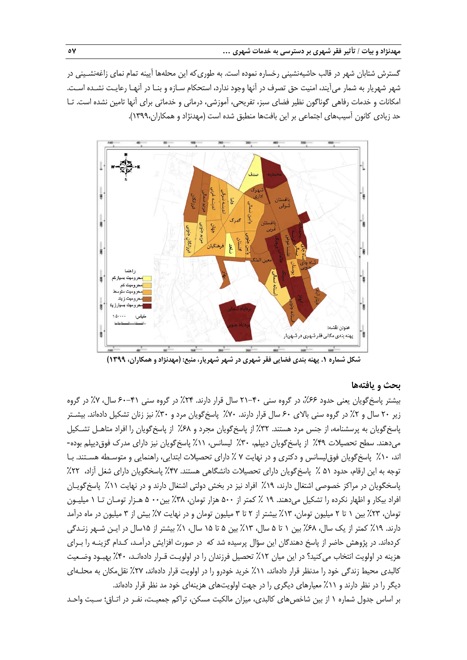گسترش شتابان شهر در قالب حاشیهنشینی رخساره نموده است. به طوریکه این محلهها آیینه تمام نمای زاغهنشـینی در شهر شهریار به شمار میآیند، امنیت حق تصرف در آنها وجود ندارد، استحکام سـازه و بنـا در آنهـا رعایـت نشـده اسـت. امکانات و خدمات رفاهی گوناگون نظیر فضای سبز، تفریحی، آموزشی، درمانی و خدماتی برای آنها تامین نشده است. تـا حد زیادی کانون آسیبهای اجتماعی بر این بافتها منطبق شده است (مهدنژاد و همکاران،۱۳۹۹).



**شکل شماره .1 پهنه بندی فضایی فقر شهری در شهر شهریار، منبع: )مهدنژاد و همکاران، 1399(**

## **بحث و یافتهها**

بیشتر پاسخگویان یعنی حدود ،%66 در گروه سنی 21-40 سال قرار دارند. %24 در گروه سنی 60-41 سال، %7 در گروه زیر ۲۰ سال و ۲٪ در گروه سنی بالای ۶۰ سال قرار دارند. ۷۰٪ پاسخگویان مرد و ۳۰٪ نیز زنان تشکیل دادهاند. بیشـتر پاسخگویان به پرسشنامه، از جنس مرد هستند. %32 از پاسخگویان مجرد و %68 از پاسخگویان را افراد متاهـل تشـکیل میدهند. سطح تحصیلات ۴۹٪ از پاسخگویان دیپلم، ۳۰٪ لیسانس، ۱۱٪ پاسخگویان نیز دارای مدرک فوق دیپلم بوده-اند، %10 پاسخگویان فوقلیسانس و دکتری و در نهایت 7 % دارای تحصیالت ابتدایی، راهنمایی و متوسـطه هسـتند. بـا توجه به این ارقام، حدود 51 % پاسخگویان دارای تحصیالت دانشگاهی هستند. %47 پاسخگویان دارای شغل آزاد، %22 پاسخگویان در مراکز خصوصی اشتغال دارند، %19 افراد نیز در بخش دولتی اشتغال دارند و در نهایت %11 پاسخگویـان افراد بیکار و اظهار نکرده را تشکیل میدهند. 19 % کمتر از 500 هزار تومان، %38 بین00 5 هـزار تومـان تـا 1 میلیـون تومان، %23 بین 1 تا 2 میلیون تومان، %13 بیشتر از 2 تا 3 میلیون تومان و در نهایت %7 بیش از 3 میلیون در ماه درآمد دارند. %19 کمتر از یک سال، %68 بین 1 تا 5 سال، %13 بین 5 تا 15 سال، %1 بیشتر از 15سال در ایـن شـهر زنـدگی کردهاند. در پژوهش حاضر از پاسخ دهندگان این سؤال پرسیده شد که در صورت افزایش درآمـد، کـدام گزینـه را بـرای هزینه در اولویت انتخاب میکنید؟ در این میان %12 تحصیل فرزندان را در اولویـت قـرار دادهانـد، %40 بهبـود وضـعیت کالبدی محیط زندگی خود را مدنظر قرار دادهاند، ۱۱٪ خرید خودرو را در اولویت قرار دادهاند، ۲۷٪ نقل مکان به محلـهای دیگر را در نظر دارند و ۱۱٪ معیارهای دیگری را در جهت اولویتهای هزینهای خود مد نظر قرار دادهاند. بر اساس جدول شماره 1 از بین شاخصهای کالبدی، میزان مالکیت مسکن، تراکم جمعیـت، نفـر در اتـاق؛ سـبت واحـد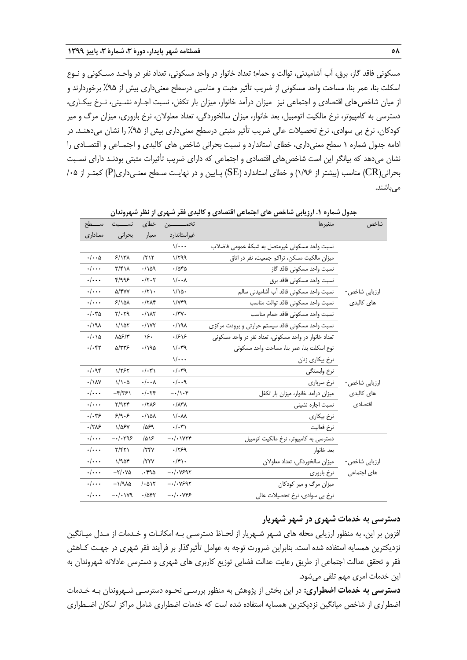مسکونی فاقد گاز، برق، آب آشامیدنی، توالت و حمام؛ تعداد خانوار در واحد مسکونی، تعداد نفر در واحـد مسـکونی و نـوع اسکلت بنا، عمر بنا، مساحت واحد مسکونی از ضریب تأثیر مثبت و مناسبی درسطح معنیداری بیش از %95 برخوردارند و از میان شاخصهای اقتصادی و اجتماعی نیز میزان درآمد خانوار، میزان بار تکفل، نسبت اجـاره نشـینی، نـرخ بیکـاری، دسترسی به کامپیوتر، نرخ مالکیت اتومبیل، بعد خانوار، میزان سالخوردگی، تعداد معلوالن، نرخ باروری، میزان مرگ و میر کودکان، نرخ بی سوادی، نرخ تحصیالت عالی ضریب تأثیر مثبتی درسطح معنیداری بیش از %95 را نشان میدهنـد. در ادامه جدول شماره 1 سطح معنیداری، خطای استاندارد و نسبت بحرانی شاخص های کالبدی و اجتمـاعی و اقتصـادی را نشان میدهد که بیانگر این است شاخص های اقتصادی و اجتماعی که دارای ضریب تأثیرات مثبتی بودنـد دارای نسـبت بحرانی)CR )مناسب )بیشتر از 1/96( و خطای استاندارد )SE )پـایین و در نهایـت سـطح معنـیداری)P )کمتـر از /05 مے باشند.

| ســـــطح                    | نســــــبت                                                     | خطاى                             | تخمــــــــــين              | جنون سندر ۱۰۰ زریجی شد عش شی اجساعی است دی و تا بیش عشر شهری از نشر شهرونه<br>متغيرها | شاخص                |
|-----------------------------|----------------------------------------------------------------|----------------------------------|------------------------------|---------------------------------------------------------------------------------------|---------------------|
| معناداري                    | بحرانى                                                         | معيار                            | غيراستاندارد                 |                                                                                       |                     |
|                             |                                                                |                                  | $\sqrt{\cdots}$              | نسبت واحد مسكونى غيرمتصل به شبكة عمومى فاضلاب                                         |                     |
| $\cdot/\cdot\cdot\Delta$    | $5/17\lambda$                                                  | /717                             | 1/799                        | میزان مالکیت مسکن، تراکم جمعیت، نفر در اتاق                                           |                     |
| $\cdot/\cdot\cdot$          | $\mathbf{r}/\mathbf{r}$                                        | .109                             | .788                         | نسبت واحد مسكونى فاقد گاز                                                             |                     |
| $\cdot/\cdot\cdot$          | f/995                                                          | $\cdot$ /۲ $\cdot$ ۲             | $\sqrt{\cdot \cdot \lambda}$ | نسبت واحد مسكونى فاقد برق                                                             |                     |
| $\cdot/\cdot\cdot$          | <b>a/۴۷۷</b>                                                   | $\cdot/\tau$ .                   | $1/\lambda$ .                | نسبت واحد مسكوني فاقد آب أشاميدني سالم                                                | ارزيابي شاخص-       |
| $\cdot/\cdot\cdot$          | 5/10 <sub>A</sub>                                              | $\cdot$ /٢٨۴                     | $1/\gamma$ ۴۹                | نسبت واحد مسكوني فاقد توالت مناسب                                                     | ها <i>ی</i> کالبدی  |
| $\cdot/\cdot r_0$           | $Y/\cdot Y9$                                                   | $\cdot/\lambda\tau$              | $\cdot/\tau$ $\vee$ .        | نسبت واحد مسكوني فاقد حمام مناسب                                                      |                     |
| $\cdot$ /191                | 1/107                                                          | $\cdot$ / $\gamma$               | .191                         | نسبت واحد مسكونى فاقد سيستم حرارتى وبرودت مركزى                                       |                     |
| $\cdot/\cdot \wedge \Delta$ | ۸۵۶/۳                                                          | ۱۶۰                              | .798                         | تعداد خانوار در واحد مسکونی، تعداد نفر در واحد مسکونی                                 |                     |
| $\cdot/\cdot$ ۴۲            | 5/٣٣۶                                                          | ۱۹۵۰/۰                           | $1/\cdot 79$                 | نوع اسكلت بنا، عمر بنا، مساحت واحد مسكونى                                             |                     |
|                             |                                                                |                                  | $\sqrt{\cdots}$              | نرخ بيكارى زنان                                                                       |                     |
| .1.98                       | 1/757                                                          | $\cdot/\cdot\tau$                | .4.74                        | نرخ وابستگى                                                                           |                     |
| $\cdot / \lambda V$         | $1/\lambda \cdot \Delta$                                       | $\cdot/\cdot\cdot$ $\wedge$      | .4.4                         | نرخ سرباري                                                                            | ارزيابي شاخص-       |
| $\cdot/\cdot\cdot$          | $-\frac{\varepsilon}{2}$                                       | $\cdot/\cdot$ $\uparrow\uparrow$ | $-\cdot/\right. \cdot \ast$  | میزان درآمد خانوار، میزان بار تکفل                                                    | ها <i>ی</i> کالبدی  |
| $\cdot/\cdot\cdot$          | Y/9Yf                                                          | .1715                            | $\cdot/\lambda$ ۳ $\lambda$  | نسبت اجاره نشينى                                                                      | اقتصادى             |
| $\cdot/\cdot$ ۳۶            | 5/9.5                                                          | $\cdot / \Delta \Lambda$         | $1/\cdot \mathcal{N}$        | نرخ بيكارى                                                                            |                     |
| .1715                       | 1/088                                                          | 1059                             | $\cdot/\cdot\tau$            | نرخ فعاليت                                                                            |                     |
| $\cdot/\cdot\cdot$          | $-1.795$                                                       | 1018                             | $-\cdot/\cdot$ IVTF          | دسترسی به کامپیوتر، نرخ مالکیت اتومبیل                                                |                     |
| $\cdot/\cdot\cdot$          | Y/5Y                                                           | /75Y                             | .1759                        | بعد خانوار                                                                            |                     |
| $\cdot/\cdot\cdot$          | 1/90f                                                          | /77V                             | $\cdot$ /۴۱.                 | میزان سالخوردگی، تعداد معلولان                                                        | ارزيابي شاخص-       |
| $\cdot/\cdot\cdot$          | $-\mathbf{Y}/\boldsymbol{\cdot}\mathbf{V} \boldsymbol{\Delta}$ | .590                             | $-\cdot/\cdot$ VS95          | نرخ باروري                                                                            | ها <i>ی</i> اجتماعی |
| $\cdot/\cdot\cdot$          | $-\frac{1}{2}\lambda\Delta$                                    | 1.015                            | $-\cdot/\cdot$ VS95          | میزان مرگ و میر کودکان                                                                |                     |
| $\cdot/\cdot\cdot$          | $-\cdot/\cdot$ 179                                             | .7057                            | $-\cdot/\cdot\cdot$ YFS      | نرخ بی سوادی، نرخ تحصیلات عالی                                                        |                     |

**جدول شماره .1 ارزیابی شاخص های اجتماعی اقتصادی و کالبدی فقر شهری از نظر شهروندان**

**دسترسی به خدمات شهری در شهر شهریار** 

افزون بر این، به منظور ارزیابی محله های شـهر شـهریار از لحـاظ دسترسـی بـه امکانـات و خـدمات از مـدل میـانگین نزدیکترین همسایه استفاده شده است. بنابراین ضرورت توجه به عوامل تأثیرگذار بر فرآیند فقر شهری در جهـت کـاهش فقر و تحقق عدالت اجتماعی از طریق رعایت عدالت فضایی توزیع کاربری های شهری و دسترسی عادالنه شهروندان به این خدمات امری مهم تلقی میشود.

**دسترسی به خدمات اضطراری:** در این بخش از پژوهش به منظور بررسـی نحـوه دسترسـی شـهروندان بـه خـدمات اضطراری از شاخص میانگین نزدیکترین همسایه استفاده شده است که خدمات اضطراری شامل مراکز اسکان اضـطراری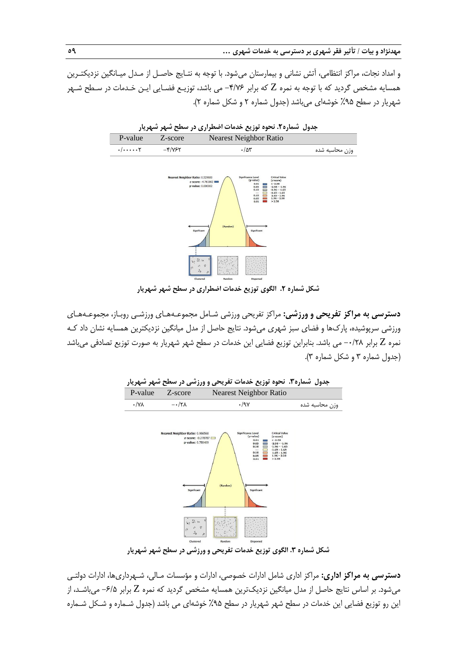و امداد نجات، مراکز انتظامی، آتش نشانی و بیمارستان میشود. با توجه به نتـایج حاصـل از مـدل میـانگین نزدیکتـرین همسایه مشخص گردید که با توجه به نمره Z که برابر -4/76 می باشد، توزیـع فضـایی ایـن خـدمات در سـطح شـهر شهریار در سطح ۹۵٪ خوشهای میباشد (جدول شماره ۲ و شکل شماره ۲).





**شکل شماره .2 الگوی توزیع خدمات اضطراری در سطح شهر شهریار**

**دسترسی به مراکز تفریحی و ورزشی:** مراکز تفریحی ورزشی شـامل مجموعـههـای ورزشـی روبـاز، مجموعـههـای ورزشی سرپوشیده، پاركها و فضای سبز شهری میشود. نتایج حاصل از مدل میانگین نزدیکترین همسایه نشان داد کـه نمره Z برابر ۰/۲۸- می باشد. بنابراین توزیع فضایی این خدمات در سطح شهر شهریار به صورت توزیع تصادفی میباشد )جدول شماره 3 و شکل شماره 3(.



**شکل شماره .3 الگوی توزیع خدمات تفریحی و ورزشی در سطح شهر شهریار**

**دسترسی به مراکز اداری:** مراکز اداری شامل ادارات خصوصی، ادارات و مؤسسات مـالی، شـهرداریها، ادارات دولتـی میشود. بر اساس نتایج حاصل از مدل میانگین نزدیکترین همسایه مشخص گردید که نمره Z برابر -6/5 میباشـد، از این رو توزیع فضایی این خدمات در سطح شهر شهریار در سطح %95 خوشهای می باشد )جدول شـماره و شـکل شـماره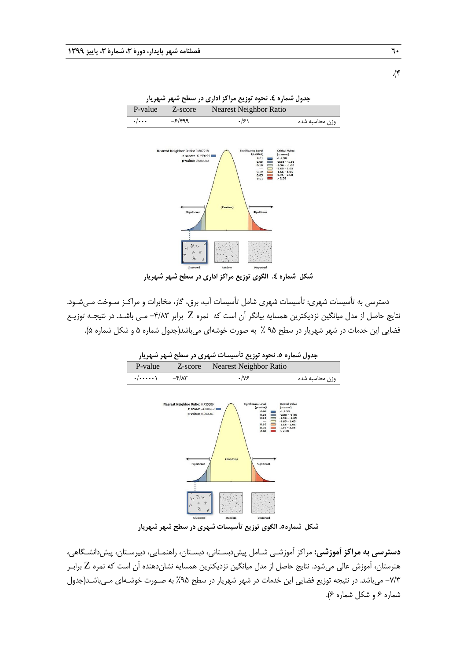![](_page_11_Figure_1.jpeg)

**جدول شماره .4 نحوه توزیع مراکز اداری در سطح شهر شهریار**

**شکل شماره .4 الگوی توزیع مراکز اداری در سطح شهر شهریار**

دسترسی به تأسیسات شهری: تأسیسات شهری شامل تأسیسات آب، برق، گاز، مخابرات و مراکـز سـوخت مـیشـود. نتایج حاصل از مدل میانگین نزدیکترین همسایه بیانگر آن است که نمره Z برابر -4/83 مـی باشـد. در نتیجـه توزیـع فضایی این خدمات در شهر شهریار در سطح 95 % به صورت خوشهای میباشد)جدول شماره 5 و شکل شماره 5(.

**جدول شماره .5 نحوه توزیع تأسیسات شهری در سطح شهر شهریار** P-value Z-score Nearest Neighbor Ratio وزن محاسبه شده 0/76 -4/83 0/000001 Ratio: 0.75588 z-score: -4,830762<br>p-value: 0.000001  $\begin{array}{c} 0.01 \\ 0.05 \\ 0.10 \end{array}$  $0.10$ <br> $0.05$ 

**شکل شماره.5 الگوی توزیع تأسیسات شهری در سطح شهر شهریار**

**دسترسی به مراکز آموزشی:** مراکز آموزشـی شـامل پیشدبسـتانی، دبسـتان، راهنمـایی، دبیرسـتان، پیشدانشـگاهی، هنرستان، آموزش عالی میشود. نتایج حاصل از مدل میانگین نزدیکترین همسایه نشاندهنده آن است که نمره Z برابـر -7/3 میباشد. در نتیجه توزیع فضایی این خدمات در شهر شهریار در سطح %95 به صـورت خوشـهای مـیباشـد)جدول شماره 6 و شکل شماره 6(.

.(۴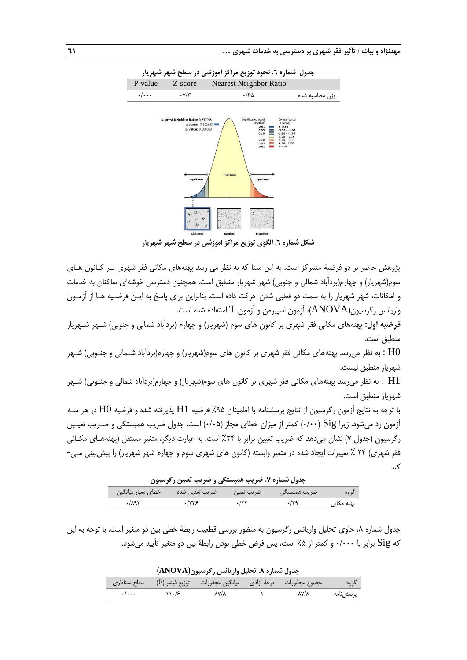![](_page_12_Figure_1.jpeg)

**شکل شماره .6 الگوی توزیع مراکز آموزشی در سطح شهر شهریار**

پژوهش حاضر بر دو فرضیۀ متمرکز است. به این معنا که به نظر می رسد پهنههای مکانی فقر شهری بـر کـانون هـای سوم(شهریار) و چهارم(بردآباد شمالی و جنوبی) شهر شهریار منطبق است. همچنین دسترسی خوشهای ساکنان به خدمات و امکانات، شهر شهریار را به سمت دو قطبی شدن حرکت داده است. بنابراین برای پاسخ به ایـن فرضـیه هـا از آزمـون واریانس رگرسیون(ANOVA)، آزمون اسپیرمن و آزمون  $\rm T$  استفاده شده است.

**فرضیه اول:** پهنههای مکانی فقر شهری بر کانون های سوم (شهریار) و چهارم (بردآباد شمالی و جنوبی) شـهر شـهریار منطبق است.

به نظر میرسد پهنههای مکانی فقر شهری بر کانون های سوم(شهریار) و چهارم(بردآباد شـمالی و جنـوبی) شـهر :  $\rm HO$ شهریار منطبق نیست.

1H : به نظر میرسد پهنههای مکانی فقر شهری بر کانون های سوم)شهریار( و چهارم)بردآباد شمالی و جنـوبی( شـهر شهریار منطبق است.

با توجه به نتایج آزمون رگرسیون از نتایج پرسشنامه با اطمینان %95 فرضیه 1H پذیرفته شده و فرضیه 0H در هر سـه آزمون رد میشود. زیرا Sig( 0/00 )کمتر از میزان خطای مجاز )0/05( است. جدول ضریب همبستگی و ضـریب تعیـین رگرسیون )جدول 7( نشان میدهد که ضریب تعیین برابر با %24 است. به عبارت دیگر، متغیر مستقل )پهنههـای مکـانی فقر شهری) ۲۴ ٪ تغییرات ایجاد شده در متغیر وابسته (کانون های شهری سوم و چهارم شهر شهریار) را پیش بینی مـی-کند.

**جدول شماره .7 ضریب همبستگی و ضریب تعیین رگرسیون**

| خطای معیار میانگین | ضريب تعديل شده | ضريب تعيين | ضریب همبستگی |            |
|--------------------|----------------|------------|--------------|------------|
| ۸۹۲/               | ۱۲۳۶           |            |              | یهنه مکانی |

جدول شماره ۸، حاوی تحلیل واریانس رگرسیون به منظور بررسی قطعیت رابطۀ خطی بین دو متغیر است. با توجه به این که Sig برابر با 0/000 و کمتر از %5 است، پس فرض خطی بودن رابطۀ بین دو متغیر تأیید میشود.

**جدول شماره .8 تحلیل واریانس رگرسیون)ANOVA)** گروه مجموع مجذورات درجۀ آزادی میانگین مجذورات توزیع فیشر )F )سطح معناداری پرسشنامه 87/8 1 87/8 110/6 0/000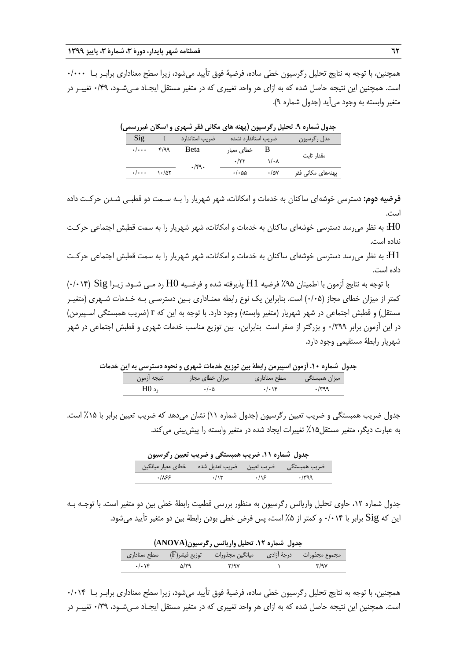همچنین، با توجه به نتایج تحلیل رگرسیون خطی ساده، فرضیۀ فوق تأیید میشود، زیرا سطح معناداری برابـر بـا 0/000 است. همچنین این نتیجه حاصل شده که به ازای هر واحد تغییری که در متغیر مستقل ایجـاد مـیشـود، 0/49 تغییـر در متغیر وابسته به وجود میآید (جدول شماره ۹).

|                |                                 |                |                     |                         | جدول شماره ۹. تحلیل رگرسیون (پهنه های مکانی فقر شهری و اسکان غیررسمی) |
|----------------|---------------------------------|----------------|---------------------|-------------------------|-----------------------------------------------------------------------|
| $\mathrm{Sig}$ |                                 | ضريب استاندارد | ضريب استاندارد نشده |                         | مدل رگرسیون                                                           |
| $\cdot/\cdots$ | 499                             | Beta           | خطای معیار $B$      |                         | مقدار ثابت                                                            |
|                |                                 | $\cdot$ /۴9.   | .77                 | $\lambda/\cdot \lambda$ |                                                                       |
|                | $\cdot/\cdots$ $\cdot/\Delta T$ |                | $\cdot/\cdot$ 55    | $\cdot$ /57             | پهنههای مکانی فقر                                                     |

**فرضیه دوم:** دسترسی خوشهای ساکنان به خدمات و امکانات، شهر شهریار را بـه سـمت دو قطبـی شـدن حرکـت داده است.

به نظر می $_0$ رسد دسترسی خوشهای ساکنان به خدمات و امکانات، شهر شهریار را به سمت قطبش اجتماعی حرکـت $\rm HO$ نداده است.

1H: به نظر میرسد دسترسی خوشهای ساکنان به خدمات و امکانات، شهر شهریار را به سمت قطبش اجتماعی حرکـت داده است.

با توجه به نتایج آزمون با اطمینان %95 فرضیه 1H پذیرفته شده و فرضـیه 0H رد مـی شـود. زیـرا Sig( 0/014 ) کمتر از میزان خطای مجاز (۰/۰۵) است. بنابراین یک نوع رابطه معنـاداری بـین دسترسـی بـه خـدمات شـهری (متغیـر مستقل) و قطبش اجتماعی در شهر شهریار (متغیر وابسته) وجود دارد. با توجه به این که r (ضریب همبستگی اسـپیرمن) در این آزمون برابر 0/399 و بزرگتر از صفر است بنابراین، بین توزیع مناسب خدمات شهری و قطبش اجتماعی در شهر شهریار رابطۀ مستقیمی وجود دارد.

**جدول شماره .10 آزمون اسپیرمن رابطۀ بین توزیع خدمات شهری و نحوه دسترسی به این خدمات**

| ∍ أ;مون.<br>تتيجه       | میزان خطا; | سطح معناداری | میزان همیستگے ِ |
|-------------------------|------------|--------------|-----------------|
| $\mathbf{1} \mathbf{0}$ |            |              |                 |

جدول ضریب همبستگی و ضریب تعیین رگرسیون (جدول شماره ۱۱) نشان میدهد که ضریب تعیین برابر با ۱۵٪ است. به عبارت دیگر، متغیر مستقل%15 تغییرات ایجاد شده در متغیر وابسته را پیشبینی میکند.

| جدول شماره ۱۱. ضریب همبستگی و ضریب تعیین رگرسیون |                                                           |             |              |  |  |  |
|--------------------------------------------------|-----------------------------------------------------------|-------------|--------------|--|--|--|
|                                                  | ضریب همبستگی ضریب تعیین ضریب تعدیل شده خطای معیار میانگین |             |              |  |  |  |
| $\cdot$ /۸۶۶                                     | $\cdot$ /\۳                                               | $\cdot$ /18 | $\cdot$ /۳۹۹ |  |  |  |

جدول شماره ،12 حاوی تحلیل واریانس رگرسیون به منظور بررسی قطعیت رابطۀ خطی بین دو متغیر است. با توجـه بـه این که Sig برابر با 0/014 و کمتر از %5 است، پس فرض خطی بودن رابطۀ بین دو متغیر تأیید میشود.

| جدول شماره ۱۲. تحلیل واریانس رگرسیون(ANOVA) |             |                                                                                                   |  |                                   |  |  |
|---------------------------------------------|-------------|---------------------------------------------------------------------------------------------------|--|-----------------------------------|--|--|
|                                             |             | مجموع مجذورات        درجهٔ آزادی         میانگین مجذورات        توزیع فیشر(F)        سطح معناداری |  |                                   |  |  |
| $\cdot/\cdot$ ) $\epsilon$                  | <b>5/19</b> | ۳/۹۷                                                                                              |  | $\mathbf{r}/\mathbf{a}\mathbf{v}$ |  |  |

همچنین، با توجه به نتایج تحلیل رگرسیون خطی ساده، فرضیۀ فوق تأیید میشود، زیرا سطح معناداری برابـر بـا 0/014 است. همچنین این نتیجه حاصل شده که به ازای هر واحد تغییری که در متغیر مستقل ایجـاد مـیشـود، 0/39 تغییـر در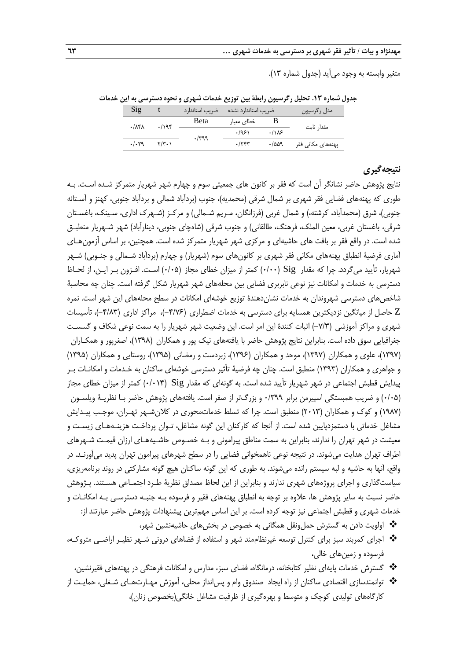متغیر وابسته به وجود میآید )جدول شماره 13(.

**جدول شماره .13 تحلیل رگرسیون رابطۀ بین توزیع خدمات شهری و نحوه دسترسی به این خدمات**

| $\mathrm{S1g}$ |                                          | ضریب استاندارد | ضريب استاندارد نشده |       | امدل رگرسیون      |  |
|----------------|------------------------------------------|----------------|---------------------|-------|-------------------|--|
| .117A          | ۰/۱۹۴                                    | <b>B</b> eta   | خطای معیار          |       | مقدار ثاىت        |  |
|                |                                          | .799           | .1951               | .118  |                   |  |
| .1.79          | $\mathbf{Y}/\mathbf{Y} \cdot \mathbf{V}$ |                | .755                | ۰/۵۵۹ | پهنههای مکانی فقر |  |

## **نتیجهگیری**

نتایج پژوهش حاضر نشانگر آن است که فقر بر کانون های جمعیتی سوم و چهارم شهر شهریار متمرکز شـده اسـت. بـه طوری که پهنههای فضایی فقر شهری بر شمال شرقی (محمدیه)، جنوب (بردآباد شمالی و بردآباد جنوبی، کهنز و آسـتانه جنوبی)، شرق (محمدآباد، کرشته،) و شمال غربی (فرزانگان، مـریم شـمالی) و مرکـز (شـهرک اداری، سـینک، باغسـتان شرقی، باغستان غربی، معین الملک، فرهنگ، طالقانی) و جنوب شرقی (شاهچای جنوبی، دینارآباد) شهر شـهریار منطبـق شده است. در واقع فقر بر بافت های حاشیهای و مرکزی شهر شهریار متمرکز شده است. همچنین، بر اساس آزمونهـای آماری فرضیۀ انطباق پهنههای مکانی فقر شهری بر کانونهای سوم )شهریار( و چهارم )بردآباد شـمالی و جنـوبی( شـهر شهریار، تأیید میگردد. چرا که مقدار Sig( 0/00 )کمتر از میزان خطای مجاز )0/05( اسـت. افـزون بـر ایـن، از لحـاظ دسترسی به خدمات و امکانات نیز نوعی نابربری فضایی بین محلههای شهر شهریار شکل گرفته است. چنان چه محاسبۀ شاخصهای دسترسی شهروندان به خدمات نشاندهندة توزیع خوشهای امکانات در سطح محلههای این شهر است. نمره Z حاصل از میانگین نزدیکترین همسایه برای دسترسی به خدمات اضطراری )-4/76(، مراکز اداری )-4/83(، تأسیسات شهری و مراکز آموزشی )-7/3( اثبات کنندة این امر است. این وضعیت شهر شهریار را به سمت نوعی شکاف و گسسـت جغرافیایی سوق داده است. بنابراین نتایج پژوهش حاضر با یافتههای نیک پور و همکاران )1398(، اصغرپور و همکـاران )1397(، علوی و همکاران )1397(، موحد و همکاران )1396(، زبردست و رمضانی )1395(، روستایی و همکاران )1395( و جواهری و همکاران )1393( منطبق است. چنان چه فرضیۀ تأثیر دسترسی خوشهای ساکنان به خـدمات و امکانـات بـر پیدایش قطبش اجتماعی در شهر شهریار تأیید شده است. به گونهای که مقدار Sig( 0/014 )کمتر از میزان خطای مجاز )0/05( و ضریب همبستگی اسپیرمن برابر 0/399 و بزرگتر از صفر است. یافتههای پژوهش حاضر بـا نظریـۀ ویلسـون (۱۹۸۷) و کوک و همکاران (۲۰۱۳) منطبق است. چرا که تسلط خدماتمحوری در کلانِ شـهر تهـران، موجـب پیـدایش مشاغل خدماتی با دستمزدپایین شده است. از آنجا که کارکنان این گونه مشاغل، تـوان پرداخـت هزینـههـای زیسـت و معیشت در شهر تهران را ندارند، بنابراین به سمت مناطق پیرامونی و بـه خصـوص حاشـیههـای ارزان قیمـت شـهرهای اطراف تهران هدایت میشوند. در نتیجه نوعی ناهمخوانی فضایی را در سطح شهرهای پیرامون تهران پدید میآورنـد. در واقع، آنها به حاشیه و لبه سیستم رانده میشوند. به طوری که این گونه ساکنان هیچ گونه مشارکتی در روند برنامهریزی، سیاستگذاری و اجرای پروژههای شهری ندارند و بنابراین از این لحاظ مصداق نظریۀ طـرد اجتمـاعی هسـتند. پـژوهش حاضر نسبت به سایر پژوهش ها، عالوه بر توجه به انطباق پهنههای فقیر و فرسوده بـه جنبـه دسترسـی بـه امکانـات و خدمات شهری و قطبش اجتماعی نیز توجه کرده است. بر این اساس مهمترین پیشنهادات پژوهش حاضر عبارتند از:

- اولویت دادن به گسترش حملونقل همگانی به خصوص در بخشهای حاشیهنشین شهر،
- اجرای کمربند سبز برای کنترل توسعه غیرنظاممند شهر و استفاده از فضاهای درونی شـهر نظیـر اراضـی متروکـه، فرسوده و زمینهای خالی،
	- گسترش خدمات پایهای نظیر کتابخانه، درمانگاه، فضای سبز، مدارس و امکانات فرهنگی در پهنههای فقیرنشین،
- توانمندسازی اقتصادی ساکنان از راه ایجاد صندوق وام و پسانداز محلی، آموزش مهـارتهـای شـغلی، حمایـت از کارگاههای تولیدی کوچک و متوسط و بهرهگیری از ظرفیت مشاغل خانگی(بخصوص زنان)،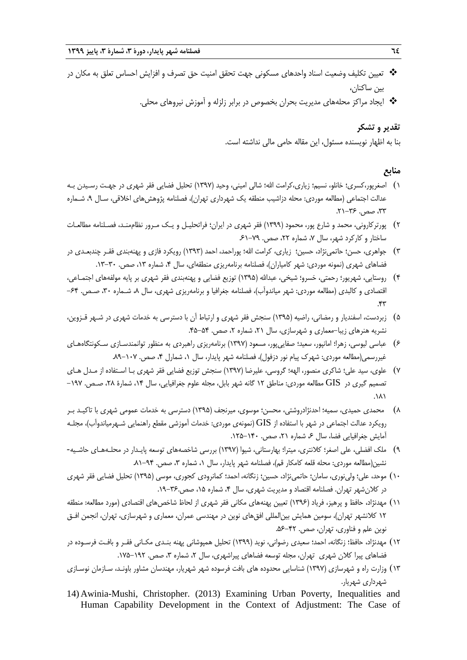- تعیین تکلیف وضعیت اسناد واحدهای مسکونی جهت تحقق امنیت حق تصرف و افزایش احساس تعلق به مکان در بین ساکنان،
	- ایجاد مراکز محلههای مدیریت بحران بخصوص در برابر زلزله و آموزش نیروهای محلی.

## **تقدیر و تشکر**

بنا به اظهار نویسنده مسئول، این مقاله حامی مالی نداشته است.

## **منابع**

- ۱) اصغرپور،کسری؛ خانلو، نسیم؛ زیاری،کرامت الله؛ شالی امینی، وحید (۱۳۹۷) تحلیل فضایی فقر شهری در جهـت رسـیدن بـه عدالت اجتماعی (مطالعه موردی: محله دزاشیب منطقه یک شهرداری تهران)، فصلنامه پژوهش،های اخلاقی، سـال ۹، شـماره ،33 صص.  $75 - 17$ .
- 2( پورترکارونی، محمد و شارع پور، محمود )1399( فقر شهری در ایران؛ فراتحلیـل و یـک مـرور نظاممنـد، فصـلنامه مطالعـات ساختار و کارکرد شهر، سال ۷، شماره ۲۲، صص. ۷۹-۶۱
- 3( جواهری، حسن؛ حاتمینژاد، حسین؛ زیاری، کرامت اهلل؛ پوراحمد، احمد )1393( رویکرد فازی و پهنهبندی فقـر چندبعـدی در فضاهای شهری (نمونه موردی: شهر کامیاران)، فصلنامه برنامهریزی منطقهای، سال ۴، شماره ۱۳، صص. ۳۰-۱۳.
- 4( روستایی، شهریور؛ رحمتی، خسرو؛ شیخی، عبداهلل )1395( توزیع فضایی و پهنهبندی فقر شهری بر پایه مولفههای اجتمـاعی، اقتصادی و کالبدی (مطالعه موردی: شهر میاندوآب)، فصلنامه جغرافیا و برنامهریزی شهری، سال ۸، شـماره ۳۰، صـص. ۶۴– .43
- 5( زبردست، اسفندیار و رمضانی، راضیه )1395( سنجش فقر شهری و ارتباط آن با دسترسی به خدمات شهری در شـهر قـزوین، نشریه هنرهای زیبا-معماری و شهرسازی، سال ،21 شماره ،2 صص. .45-54
- 6( عباسی لیوسی، زهرا؛ امانپور، سعید؛ صفاییپور، مسعود )1397( برنامهریزی راهبردی به منظور توانمندسـازی سـکونتگاههـای غیررسمی(مطالعه موردی: شهرک پیام نور دزفول)، فصلنامه شهر پایدار، سال ۱، شمارل ۴، صص. ۱۰۷–۸۹.
- 7( علوی، سید علی؛ شاکری منصور، الهه؛ گروسی، علیرضا )1397( سنجش توزیع فضایی فقر شهری بـا اسـتفاده از مـدل هـای تصمیم گیری در GIS مطالعه موردی: مناطق 12 گانه شهر بابل، مجله علوم جغرافیایی، سال ،14 شمارة ،28 صـص. -197  $\Lambda$
- 8( محمدی حمیدی، سمیه؛ احدنژادروشتی، محسن؛ موسوی، میرنجف )1395( دسترسی به خدمات عمومی شهری با تاکیـد بـر رویکرد عدالت اجتماعی در شهر با استفاده از  $\rm{GIS}$  (نمونهی موردی: خدمات آموزشی مقطع راهنمایی شـهرمیاندوآب)، مجلـه آمایش جغرافیایی فضا، سال ۶، شماره ۲۱، صص. ۱۴۰-۱۲۵.
- 9( ملک افضلی، علی اصغر؛ کالنتری، میترا؛ بهارستانی، شیوا )1397( بررسی شاخصههای توسعه پایـدار در محلـههـای حاشـیه- نشین(مطالعه موردی: محله قلعه کامکار قم)، فصلنامه شهر پایدار، سال ۱، شماره ۰, صص. ۹۴-۸۱.
- 10( موحد، علی؛ ولینوری، سامان؛ حاتمینژاد، حسین؛ زنگانه، احمد؛ کمانرودی کجوری، موسی )1395( تحلیل فضایی فقر شهری در کلان شهر تهران. فصلنامه اقتصاد و مدیریت شهری، سال ۴، شماره ۱۵، صص.۳۶-۱۹.
- ١١) مهدنژاد، حافظ و پرهیز، فریاد (١٣٩۶) تعیین پهنههای مکانی فقر شهری از لحاظ شاخص های اقتصادی (مورد مطالعه: منطقه ۱۲ کلانشهر تهران)، سومین همایش بینالمللی افق های نوین در مهندسی عمران، معماری و شهرسازی، تهران، انجمن افـق نوین علم و فناوری، تهران، صص. ۴۲-۵۶.
- 12( مهدنژاد، حافظ؛ زنگانه، احمد؛ سعیدی رضوانی، نوید )1399( تحلیل همپوشانی پهنه بنـدی مکـانی فقـر و بافـت فرسـوده در فضاهای پیرا کلان شهری تهران، مجله توسعه فضاهای پیراشهری، سال ۲، شماره ۳، صص. ۱۹۲–۱۷۵.
- 13( وزارت راه و شهرسازی )1397( شناسایی محدوده های بافت فرسوده شهر شهریار، مهندسان مشاور باونـد، سـازمان نوسـازی شهرداری شهریار.
- 14) Awinia-Mushi, Christopher. (2013) Examining Urban Poverty, Inequalities and Human Capability Development in the Context of Adjustment: The Case of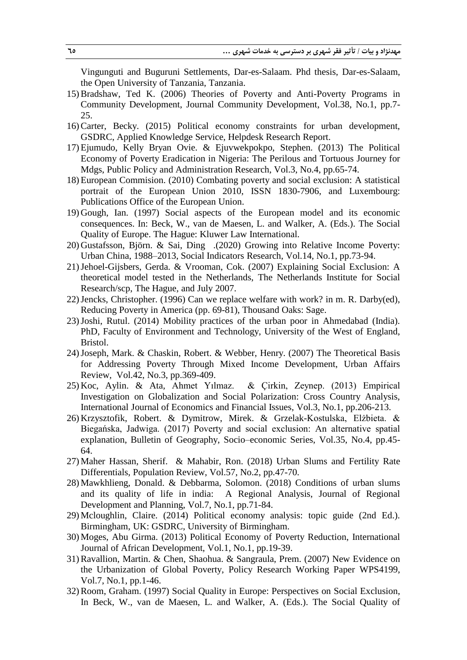Vingunguti and Buguruni Settlements, Dar-es-Salaam. Phd thesis, Dar-es-Salaam, the Open University of Tanzania, Tanzania.

- 15)Bradshaw, Ted K. (2006) Theories of Poverty and Anti-Poverty Programs in Community Development, Journal Community Development, Vol.38, No.1, pp.7- 25.
- 16)Carter, Becky. (2015) Political economy constraints for urban development, GSDRC, Applied Knowledge Service, Helpdesk Research Report.
- 17) Ejumudo, Kelly Bryan Ovie. & Ejuvwekpokpo, Stephen. (2013) The Political Economy of Poverty Eradication in Nigeria: The Perilous and Tortuous Journey for Mdgs, Public Policy and Administration Research, Vol.3, No.4, pp.65-74.
- 18) European Commision. (2010) Combating poverty and social exclusion: A statistical portrait of the European Union 2010, ISSN 1830-7906, and Luxembourg: Publications Office of the European Union.
- 19) Gough, Ian. (1997) Social aspects of the European model and its economic consequences. In: Beck, W., van de Maesen, L. and Walker, A. (Eds.). The Social Quality of Europe. The Hague: Kluwer Law International.
- 20) Gustafsson, Björn. & Sai, Ding .(2020) Growing into Relative Income Poverty: Urban China, 1988–2013, Social Indicators Research, Vol.14, No.1, pp.73-94.
- 21)Jehoel-Gijsbers, Gerda. & Vrooman, Cok. (2007) Explaining Social Exclusion: A theoretical model tested in the Netherlands, The Netherlands Institute for Social Research/scp, The Hague, and July 2007.
- 22)Jencks, Christopher. (1996) Can we replace welfare with work? in m. R. Darby(ed), Reducing Poverty in America (pp. 69-81), Thousand Oaks: Sage.
- 23)Joshi, Rutul. (2014) Mobility practices of the urban poor in Ahmedabad (India). PhD, Faculty of Environment and Technology, University of the West of England, Bristol.
- 24)Joseph, Mark. & Chaskin, Robert. & Webber, Henry. (2007) The Theoretical Basis for Addressing Poverty Through Mixed Income Development, Urban Affairs Review, Vol.42, No.3, pp.369-409.
- 25) Koc, Aylin. & Ata, Ahmet Yılmaz. & Çirkin, Zeynep. (2013) Empirical Investigation on Globalization and Social Polarization: Cross Country Analysis, International Journal of Economics and Financial Issues, Vol.3, No.1, pp.206-213.
- 26) Krzysztofik, Robert. & Dymitrow, Mirek. & Grzelak-Kostulska, Elżbieta. & Biegańska, Jadwiga. (2017) Poverty and social exclusion: An alternative spatial explanation, Bulletin of Geography, Socio–economic Series, Vol.35, No.4, pp.45- 64.
- 27) Maher Hassan, Sherif. & Mahabir, Ron. (2018) Urban Slums and Fertility Rate Differentials, Population Review, Vol.57, No.2, pp.47-70.
- 28) Mawkhlieng, Donald. & Debbarma, Solomon. (2018) Conditions of urban slums and its quality of life in india: A Regional Analysis, Journal of Regional Development and Planning, Vol.7, No.1, pp.71-84.
- 29) Mcloughlin, Claire. (2014) Political economy analysis: topic guide (2nd Ed.). Birmingham, UK: GSDRC, University of Birmingham.
- 30) Moges, Abu Girma. (2013) Political Economy of Poverty Reduction, International Journal of African Development, Vol.1, No.1, pp.19-39.
- 31)Ravallion, Martin. & Chen, Shaohua. & Sangraula, Prem. (2007) New Evidence on the Urbanization of Global Poverty, Policy Research Working Paper WPS4199, Vol.7, No.1, pp.1-46.
- 32)Room, Graham. (1997) Social Quality in Europe: Perspectives on Social Exclusion, In Beck, W., van de Maesen, L. and Walker, A. (Eds.). The Social Quality of